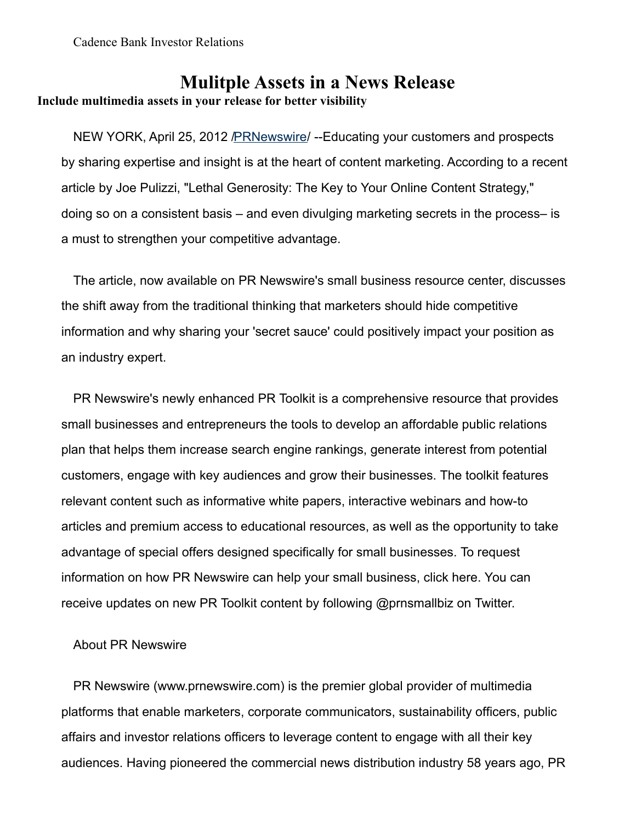## **Mulitple Assets in a News Release Include multimedia assets in your release for better visibility**

NEW YORK, April 25, 2012 PRNewswire/ --Educating your customers and prospects by sharing expertise and insight is at the heart of content marketing. According to a recent article by Joe Pulizzi, "Lethal Generosity: The Key to Your Online Content Strategy," doing so on a consistent basis – and even divulging marketing secrets in the process– is a must to strengthen your competitive advantage.

The article, now available on PR Newswire's small business resource center, discusses the shift away from the traditional thinking that marketers should hide competitive information and why sharing your 'secret sauce' could positively impact your position as an industry expert.

PR Newswire's newly enhanced PR Toolkit is a comprehensive resource that provides small businesses and entrepreneurs the tools to develop an affordable public relations plan that helps them increase search engine rankings, generate interest from potential customers, engage with key audiences and grow their businesses. The toolkit features relevant content such as informative white papers, interactive webinars and how-to articles and premium access to educational resources, as well as the opportunity to take advantage of special offers designed specifically for small businesses. To request information on how PR Newswire can help your small business, click here. You can receive updates on new PR Toolkit content by following @prnsmallbiz on Twitter.

## About PR Newswire

PR Newswire (www.prnewswire.com) is the premier global provider of multimedia platforms that enable marketers, corporate communicators, sustainability officers, public affairs and investor relations officers to leverage content to engage with all their key audiences. Having pioneered the commercial news distribution industry 58 years ago, PR